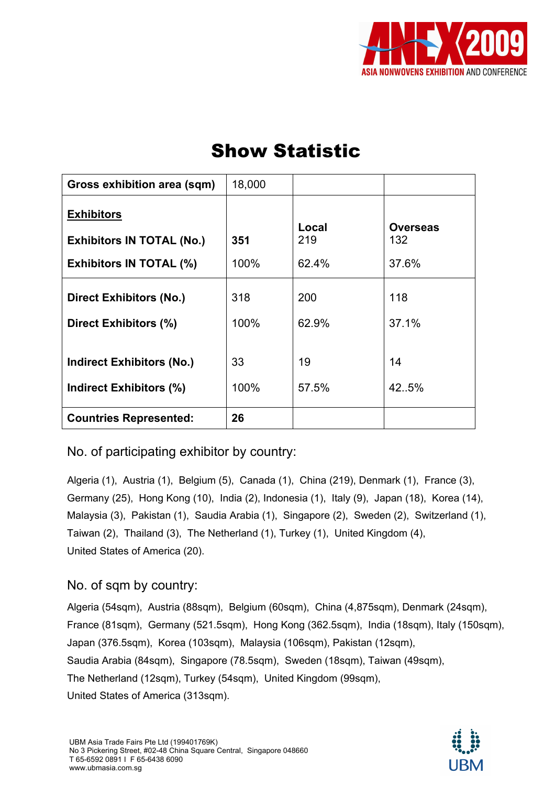

| Gross exhibition area (sqm)                                                             | 18,000      |                       |                                 |
|-----------------------------------------------------------------------------------------|-------------|-----------------------|---------------------------------|
| <b>Exhibitors</b><br><b>Exhibitors IN TOTAL (No.)</b><br><b>Exhibitors IN TOTAL (%)</b> | 351<br>100% | Local<br>219<br>62.4% | <b>Overseas</b><br>132<br>37.6% |
| <b>Direct Exhibitors (No.)</b><br>Direct Exhibitors (%)                                 | 318<br>100% | 200<br>62.9%          | 118<br>37.1%                    |
| <b>Indirect Exhibitors (No.)</b><br><b>Indirect Exhibitors (%)</b>                      | 33<br>100%  | 19<br>57.5%           | 14<br>42.5%                     |
| <b>Countries Represented:</b>                                                           | 26          |                       |                                 |

### No. of participating exhibitor by country:

Algeria (1), Austria (1), Belgium (5), Canada (1), China (219), Denmark (1), France (3), Germany (25), Hong Kong (10), India (2), Indonesia (1), Italy (9), Japan (18), Korea (14), Malaysia (3), Pakistan (1), Saudia Arabia (1), Singapore (2), Sweden (2), Switzerland (1), Taiwan (2), Thailand (3), The Netherland (1), Turkey (1), United Kingdom (4), United States of America (20).

#### No. of sqm by country:

Algeria (54sqm), Austria (88sqm), Belgium (60sqm), China (4,875sqm), Denmark (24sqm), France (81sqm), Germany (521.5sqm), Hong Kong (362.5sqm), India (18sqm), Italy (150sqm), Japan (376.5sqm), Korea (103sqm), Malaysia (106sqm), Pakistan (12sqm), Saudia Arabia (84sqm), Singapore (78.5sqm), Sweden (18sqm), Taiwan (49sqm), The Netherland (12sqm), Turkey (54sqm), United Kingdom (99sqm), United States of America (313sqm).

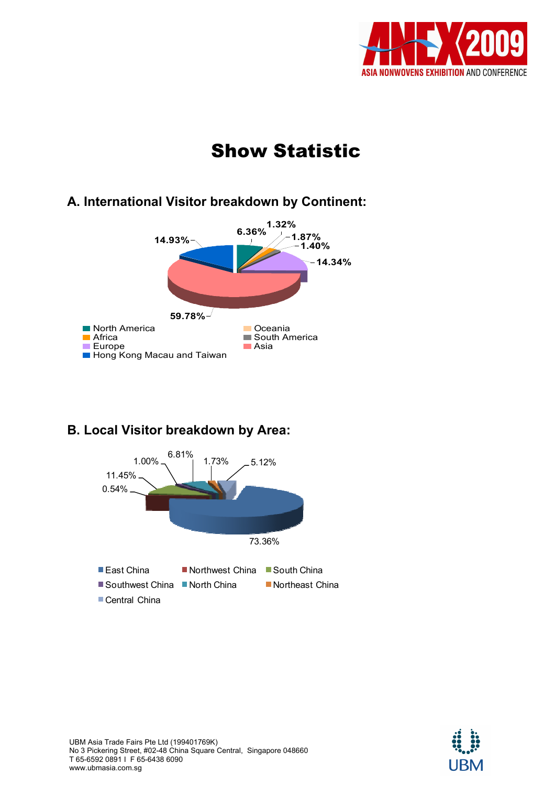

### A. International Visitor breakdown by Continent:



## B. Local Visitor breakdown by Area:

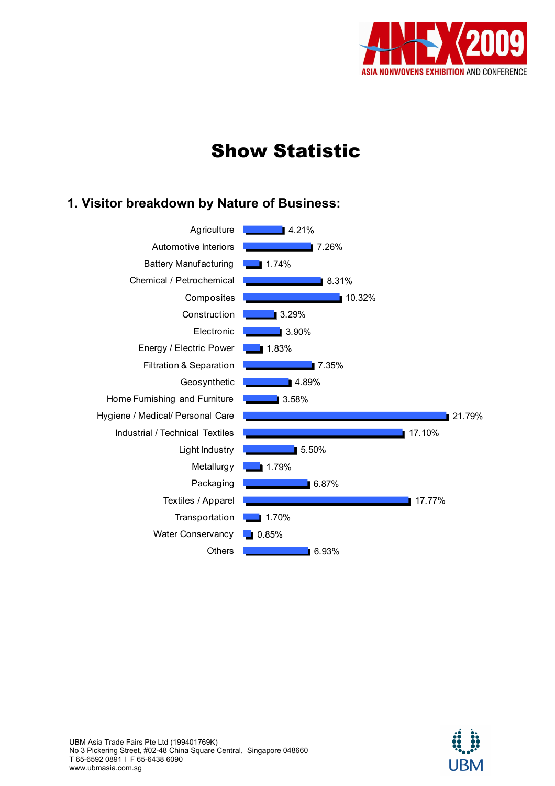

### 1. Visitor breakdown by Nature of Business: